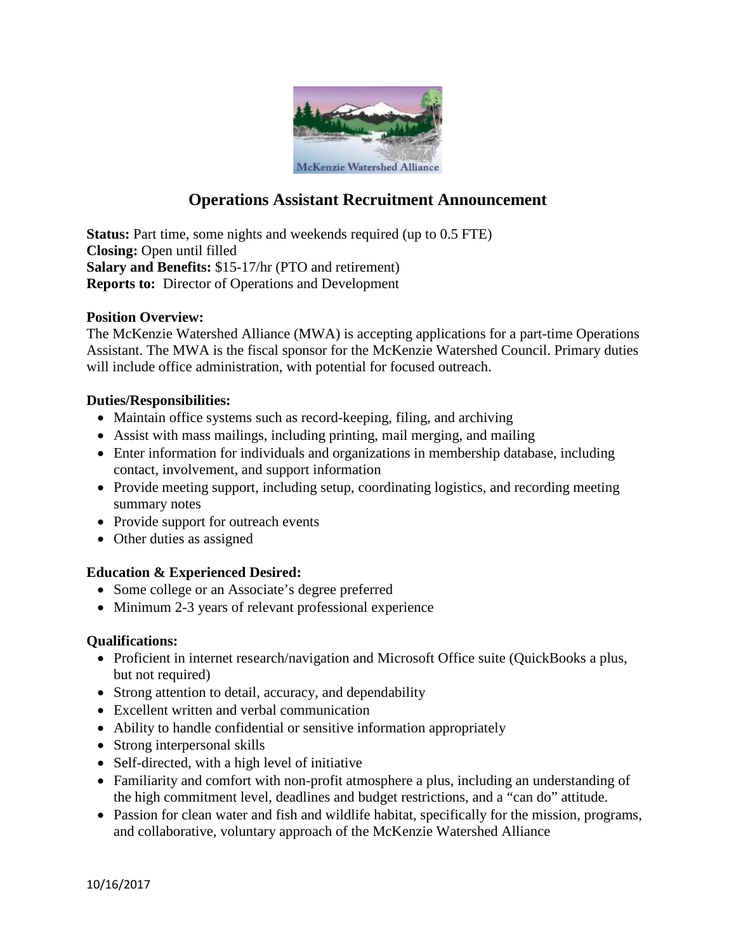

# **Operations Assistant Recruitment Announcement**

**Status:** Part time, some nights and weekends required (up to 0.5 FTE) **Closing:** Open until filled **Salary and Benefits:** \$15-17/hr (PTO and retirement) **Reports to:** Director of Operations and Development

### **Position Overview:**

The McKenzie Watershed Alliance (MWA) is accepting applications for a part-time Operations Assistant. The MWA is the fiscal sponsor for the McKenzie Watershed Council. Primary duties will include office administration, with potential for focused outreach.

### **Duties/Responsibilities:**

- Maintain office systems such as record-keeping, filing, and archiving
- Assist with mass mailings, including printing, mail merging, and mailing
- Enter information for individuals and organizations in membership database, including contact, involvement, and support information
- Provide meeting support, including setup, coordinating logistics, and recording meeting summary notes
- Provide support for outreach events
- Other duties as assigned

## **Education & Experienced Desired:**

- Some college or an Associate's degree preferred
- Minimum 2-3 years of relevant professional experience

### **Qualifications:**

- Proficient in internet research/navigation and Microsoft Office suite (QuickBooks a plus, but not required)
- Strong attention to detail, accuracy, and dependability
- Excellent written and verbal communication
- Ability to handle confidential or sensitive information appropriately
- Strong interpersonal skills
- Self-directed, with a high level of initiative
- Familiarity and comfort with non-profit atmosphere a plus, including an understanding of the high commitment level, deadlines and budget restrictions, and a "can do" attitude.
- Passion for clean water and fish and wildlife habitat, specifically for the mission, programs, and collaborative, voluntary approach of the McKenzie Watershed Alliance